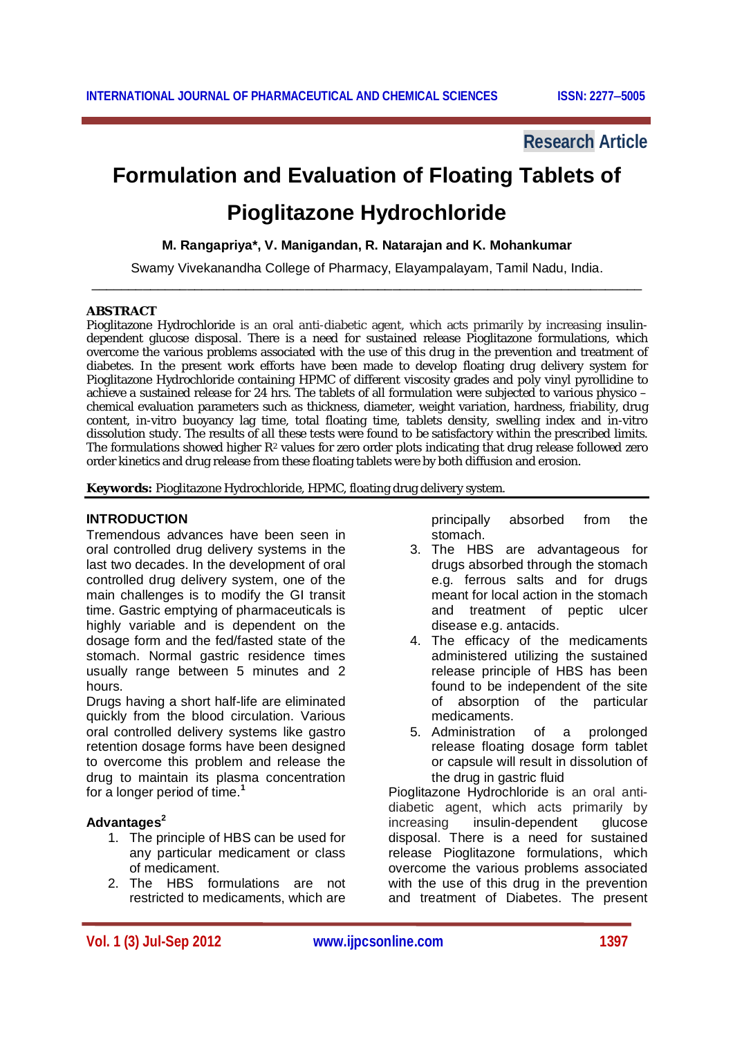# **Research Article**

# **Formulation and Evaluation of Floating Tablets of Pioglitazone Hydrochloride**

**M. Rangapriya\*, V. Manigandan, R. Natarajan and K. Mohankumar**

Swamy Vivekanandha College of Pharmacy, Elayampalayam, Tamil Nadu, India. \_\_\_\_\_\_\_\_\_\_\_\_\_\_\_\_\_\_\_\_\_\_\_\_\_\_\_\_\_\_\_\_\_\_\_\_\_\_\_\_\_\_\_\_\_\_\_\_\_\_\_\_\_\_\_\_\_\_\_\_\_\_\_\_\_\_\_\_\_\_\_\_\_\_\_

#### **ABSTRACT**

Pioglitazone Hydrochloride is an oral anti-diabetic agent, which acts primarily by increasing insulindependent glucose disposal. There is a need for sustained release Pioglitazone formulations, which overcome the various problems associated with the use of this drug in the prevention and treatment of diabetes. In the present work efforts have been made to develop floating drug delivery system for Pioglitazone Hydrochloride containing HPMC of different viscosity grades and poly vinyl pyrollidine to achieve a sustained release for 24 hrs. The tablets of all formulation were subjected to various physico – chemical evaluation parameters such as thickness, diameter, weight variation, hardness, friability, drug content, in-vitro buoyancy lag time, total floating time, tablets density, swelling index and in-vitro dissolution study. The results of all these tests were found to be satisfactory within the prescribed limits. The formulations showed higher R<sup>2</sup> values for zero order plots indicating that drug release followed zero order kinetics and drug release from these floating tablets were by both diffusion and erosion.

**Keywords:** Pioglitazone Hydrochloride, HPMC, floating drug delivery system.

#### **INTRODUCTION**

Tremendous advances have been seen in oral controlled drug delivery systems in the last two decades. In the development of oral controlled drug delivery system, one of the main challenges is to modify the GI transit time. Gastric emptying of pharmaceuticals is highly variable and is dependent on the dosage form and the fed/fasted state of the stomach. Normal gastric residence times usually range between 5 minutes and 2 hours.

Drugs having a short half-life are eliminated quickly from the blood circulation. Various oral controlled delivery systems like gastro retention dosage forms have been designed to overcome this problem and release the drug to maintain its plasma concentration for a longer period of time.**<sup>1</sup>**

## **Advantages<sup>2</sup>**

- 1. The principle of HBS can be used for any particular medicament or class of medicament.
- 2. The HBS formulations are not restricted to medicaments, which are

principally absorbed from the stomach.

- 3. The HBS are advantageous for drugs absorbed through the stomach e.g. ferrous salts and for drugs meant for local action in the stomach and treatment of peptic ulcer disease e.g. antacids.
- 4. The efficacy of the medicaments administered utilizing the sustained release principle of HBS has been found to be independent of the site of absorption of the particular medicaments.<br>5. Administration
- of a prolonged release floating dosage form tablet or capsule will result in dissolution of the drug in gastric fluid

Pioglitazone Hydrochloride is an oral antidiabetic agent, which acts primarily by increasing insulin-dependent glucose disposal. There is a need for sustained release Pioglitazone formulations, which overcome the various problems associated with the use of this drug in the prevention and treatment of Diabetes. The present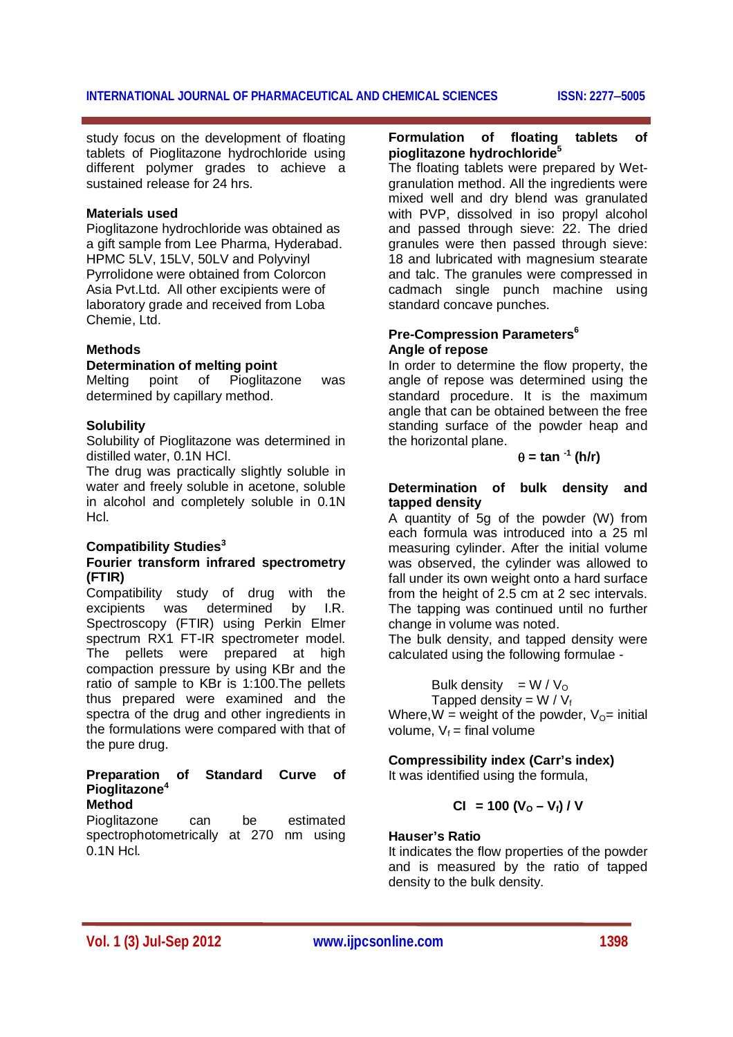# **INTERNATIONAL JOURNAL OF PHARMACEUTICAL AND CHEMICAL SCIENCES ISSN: 22775005**

study focus on the development of floating tablets of Pioglitazone hydrochloride using different polymer grades to achieve a sustained release for 24 hrs.

#### **Materials used**

Pioglitazone hydrochloride was obtained as a gift sample from Lee Pharma, Hyderabad. HPMC 5LV, 15LV, 50LV and Polyvinyl Pyrrolidone were obtained from Colorcon Asia Pvt.Ltd. All other excipients were of laboratory grade and received from Loba Chemie, Ltd.

#### **Methods**

## **Determination of melting point**

Melting point of Pioglitazone was determined by capillary method.

#### **Solubility**

Solubility of Pioglitazone was determined in distilled water, 0.1N HCl.

The drug was practically slightly soluble in water and freely soluble in acetone, soluble in alcohol and completely soluble in 0.1N Hcl.

## **Compatibility Studies<sup>3</sup>**

#### **Fourier transform infrared spectrometry (FTIR)**

Compatibility study of drug with the excipients was determined by I.R. Spectroscopy (FTIR) using Perkin Elmer spectrum RX1 FT-IR spectrometer model. The pellets were prepared at high compaction pressure by using KBr and the ratio of sample to KBr is 1:100.The pellets thus prepared were examined and the spectra of the drug and other ingredients in the formulations were compared with that of the pure drug.

#### **Preparation of Standard Curve of Pioglitazone<sup>4</sup> Method**

Pioglitazone can be estimated spectrophotometrically at 270 nm using 0.1N Hcl.

### **Formulation of floating tablets of pioglitazone hydrochloride<sup>5</sup>**

The floating tablets were prepared by Wetgranulation method. All the ingredients were mixed well and dry blend was granulated with PVP, dissolved in iso propyl alcohol and passed through sieve: 22. The dried granules were then passed through sieve: 18 and lubricated with magnesium stearate and talc. The granules were compressed in cadmach single punch machine using standard concave punches.

#### **Pre-Compression Parameters<sup>6</sup> Angle of repose**

In order to determine the flow property, the angle of repose was determined using the standard procedure. It is the maximum angle that can be obtained between the free standing surface of the powder heap and the horizontal plane.

$$
\theta = \tan^{-1} (\text{h/r})
$$

#### **Determination of bulk density and tapped density**

A quantity of 5g of the powder (W) from each formula was introduced into a 25 ml measuring cylinder. After the initial volume was observed, the cylinder was allowed to fall under its own weight onto a hard surface from the height of 2.5 cm at 2 sec intervals. The tapping was continued until no further change in volume was noted.

The bulk density, and tapped density were calculated using the following formulae -

Bulk density = 
$$
W / V_0
$$

Tapped density =  $W / V_f$ Where, W = weight of the powder,  $V_{\Omega}$ = initial volume,  $V_f$  = final volume

# **Compressibility index (Carr's index)**

It was identified using the formula,

$$
CI = 100 (Vo - Vf) / V
$$

## **Hauser's Ratio**

It indicates the flow properties of the powder and is measured by the ratio of tapped density to the bulk density.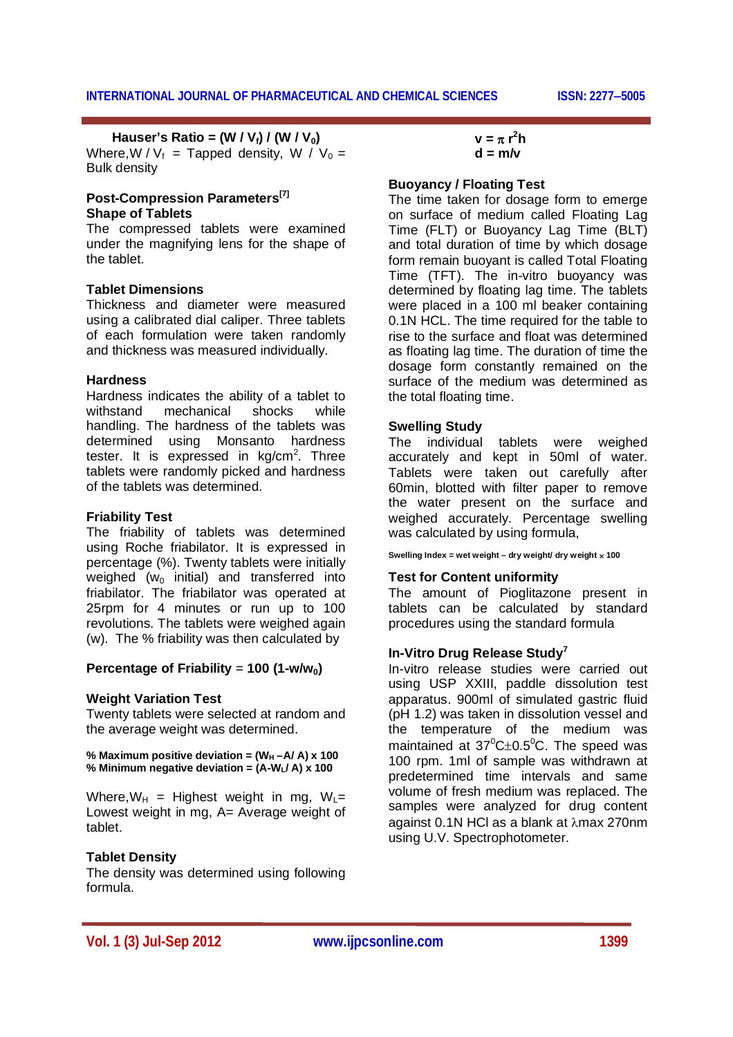# **Hauser's Ratio = (W / Vf) / (W / V0)**

Where, W /  $V_f$  = Tapped density, W /  $V_0$  = Bulk density

#### **Post-Compression Parameters[7] Shape of Tablets**

The compressed tablets were examined under the magnifying lens for the shape of the tablet.

### **Tablet Dimensions**

Thickness and diameter were measured using a calibrated dial caliper. Three tablets of each formulation were taken randomly and thickness was measured individually.

#### **Hardness**

Hardness indicates the ability of a tablet to withstand mechanical shocks while handling. The hardness of the tablets was determined using Monsanto hardness tester. It is expressed in  $kg/cm<sup>2</sup>$ . Three tablets were randomly picked and hardness of the tablets was determined.

#### **Friability Test**

The friability of tablets was determined using Roche friabilator. It is expressed in percentage (%). Twenty tablets were initially weighed ( $w_0$  initial) and transferred into friabilator. The friabilator was operated at 25rpm for 4 minutes or run up to 100 revolutions. The tablets were weighed again (w). The % friability was then calculated by

# **Percentage of Friability** =  $100$  (1-w/w<sub>0</sub>)

#### **Weight Variation Test**

Twenty tablets were selected at random and the average weight was determined.

% Maximum positive deviation =  $(W_H - A/A)$  x 100 **% Minimum negative deviation = (A-WL/ A) x 100**

Where,  $W_H$  = Highest weight in mg,  $W_L$ = Lowest weight in mg, A= Average weight of tablet.

## **Tablet Density**

The density was determined using following formula.

 $v = \pi r^2 h$  $d = m/v$ 

#### **Buoyancy / Floating Test**

The time taken for dosage form to emerge on surface of medium called Floating Lag Time (FLT) or Buoyancy Lag Time (BLT) and total duration of time by which dosage form remain buoyant is called Total Floating Time (TFT). The in-vitro buoyancy was determined by floating lag time. The tablets were placed in a 100 ml beaker containing 0.1N HCL. The time required for the table to rise to the surface and float was determined as floating lag time. The duration of time the dosage form constantly remained on the surface of the medium was determined as the total floating time.

#### **Swelling Study**

The individual tablets were weighed accurately and kept in 50ml of water. Tablets were taken out carefully after 60min, blotted with filter paper to remove the water present on the surface and weighed accurately. Percentage swelling was calculated by using formula,

**Swelling Index = wet weight – dry weight/ dry weight 100**

#### **Test for Content uniformity**

The amount of Pioglitazone present in tablets can be calculated by standard procedures using the standard formula

#### **In-Vitro Drug Release Study<sup>7</sup>**

In-vitro release studies were carried out using USP XXIII, paddle dissolution test apparatus. 900ml of simulated gastric fluid (pH 1.2) was taken in dissolution vessel and the temperature of the medium was maintained at  $37^{\circ}$ C $\pm$ 0.5°C. The speed was 100 rpm. 1ml of sample was withdrawn at predetermined time intervals and same volume of fresh medium was replaced. The samples were analyzed for drug content against 0.1N HCl as a blank at  $\lambda$ max 270nm using U.V. Spectrophotometer.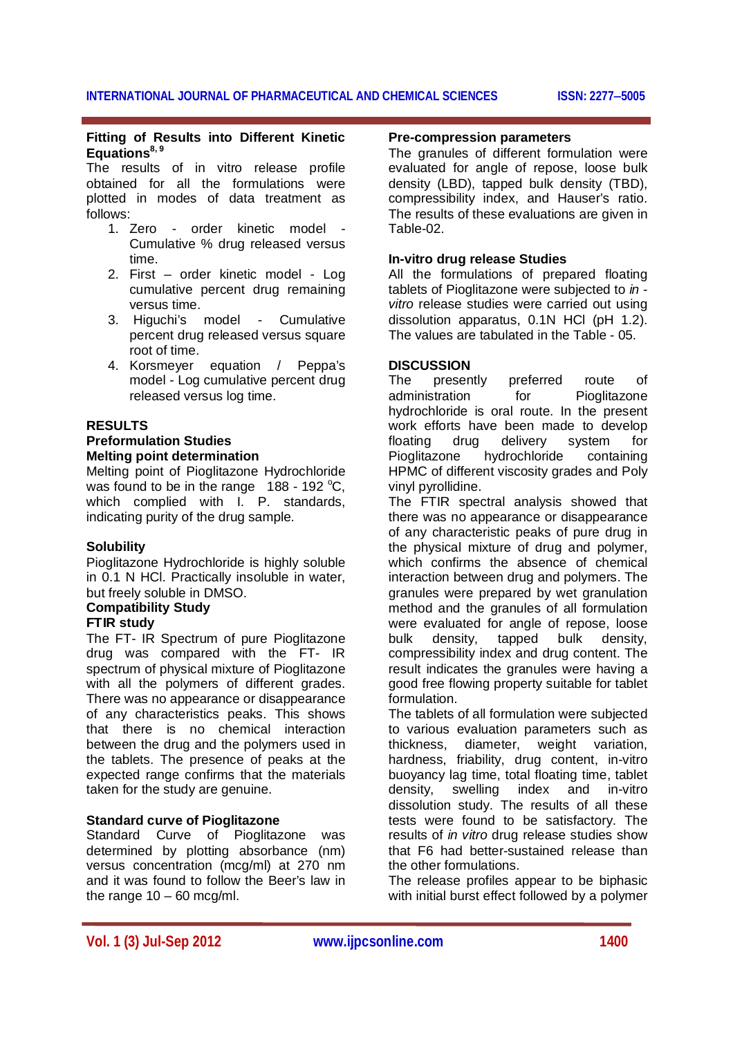# **Fitting of Results into Different Kinetic Equations8, 9**

The results of in vitro release profile obtained for all the formulations were plotted in modes of data treatment as follows:

- 1. Zero order kinetic model Cumulative % drug released versus time.
- 2. First order kinetic model Log cumulative percent drug remaining versus time.
- 3. Higuchi's model Cumulative percent drug released versus square root of time.
- 4. Korsmeyer equation / Peppa's model - Log cumulative percent drug released versus log time.

# **RESULTS**

#### **Preformulation Studies Melting point determination**

Melting point of Pioglitazone Hydrochloride was found to be in the range  $188 - 192$  °C, which complied with I. P. standards, indicating purity of the drug sample.

## **Solubility**

Pioglitazone Hydrochloride is highly soluble in 0.1 N HCl. Practically insoluble in water, but freely soluble in DMSO.

# **Compatibility Study**

# **FTIR study**

The FT- IR Spectrum of pure Pioglitazone drug was compared with the FT- IR spectrum of physical mixture of Pioglitazone with all the polymers of different grades. There was no appearance or disappearance of any characteristics peaks. This shows that there is no chemical interaction between the drug and the polymers used in the tablets. The presence of peaks at the expected range confirms that the materials taken for the study are genuine.

# **Standard curve of Pioglitazone**

Standard Curve of Pioglitazone was determined by plotting absorbance (nm) versus concentration (mcg/ml) at 270 nm and it was found to follow the Beer's law in the range  $10 - 60$  mcg/ml.

#### **Pre-compression parameters**

The granules of different formulation were evaluated for angle of repose, loose bulk density (LBD), tapped bulk density (TBD), compressibility index, and Hauser's ratio. The results of these evaluations are given in Table-02.

# **In-vitro drug release Studies**

All the formulations of prepared floating tablets of Pioglitazone were subjected to *in vitro* release studies were carried out using dissolution apparatus, 0.1N HCl (pH 1.2). The values are tabulated in the Table - 05.

# **DISCUSSION**

The presently preferred route of administration for Pioglitazone hydrochloride is oral route. In the present work efforts have been made to develop floating drug delivery system for Pioglitazone hydrochloride containing HPMC of different viscosity grades and Poly vinyl pyrollidine.

The FTIR spectral analysis showed that there was no appearance or disappearance of any characteristic peaks of pure drug in the physical mixture of drug and polymer, which confirms the absence of chemical interaction between drug and polymers. The granules were prepared by wet granulation method and the granules of all formulation were evaluated for angle of repose, loose bulk density, tapped bulk density, compressibility index and drug content. The result indicates the granules were having a good free flowing property suitable for tablet formulation.

The tablets of all formulation were subjected to various evaluation parameters such as thickness, diameter, weight variation, hardness, friability, drug content, in-vitro buoyancy lag time, total floating time, tablet density, swelling index and in-vitro dissolution study. The results of all these tests were found to be satisfactory. The results of *in vitro* drug release studies show that F6 had better-sustained release than the other formulations.

The release profiles appear to be biphasic with initial burst effect followed by a polymer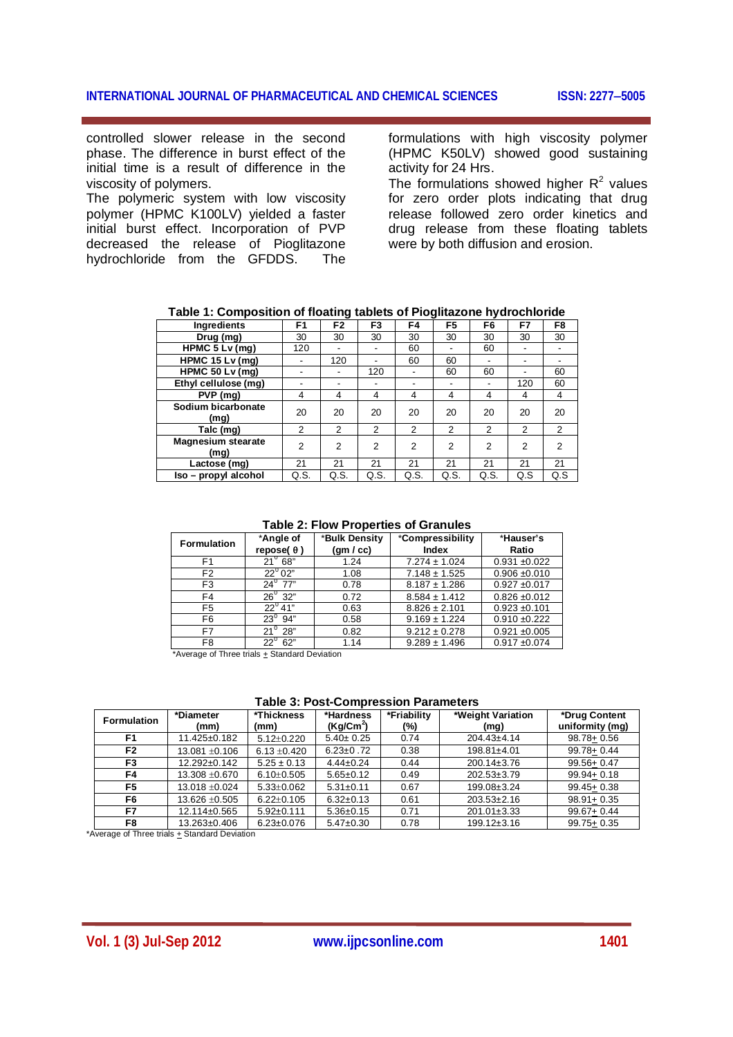controlled slower release in the second phase. The difference in burst effect of the initial time is a result of difference in the viscosity of polymers.

The polymeric system with low viscosity polymer (HPMC K100LV) yielded a faster initial burst effect. Incorporation of PVP decreased the release of Pioglitazone hydrochloride from the GFDDS. The

formulations with high viscosity polymer (HPMC K50LV) showed good sustaining activity for 24 Hrs.

The formulations showed higher  $R^2$  values for zero order plots indicating that drug release followed zero order kinetics and drug release from these floating tablets were by both diffusion and erosion.

| Ingredients                       | F <sub>1</sub> | F <sub>2</sub> | F <sub>3</sub> | F4             | F5                       | F6             | F7             | F8             |
|-----------------------------------|----------------|----------------|----------------|----------------|--------------------------|----------------|----------------|----------------|
| Drug (mg)                         | 30             | 30             | 30             | 30             | 30                       | 30             | 30             | 30             |
| HPMC $5 Lv$ (mq)                  | 120            | ٠              |                | 60             |                          | 60             |                |                |
| HPMC $15 Lv$ (mg)                 |                | 120            |                | 60             | 60                       | -              | ٠              |                |
| HPMC 50 $Lv$ (mg)                 |                | ٠              | 120            |                | 60                       | 60             | ٠              | 60             |
| Ethyl cellulose (mg)              |                | ٠              | -              |                | $\overline{\phantom{0}}$ |                | 120            | 60             |
| PVP (mg)                          | 4              | 4              | 4              | 4              | 4                        | 4              | $\overline{4}$ | 4              |
| Sodium bicarbonate<br>(mg)        | 20             | 20             | 20             | 20             | 20                       | 20             | 20             | 20             |
| Talc (mg)                         | $\overline{2}$ | $\overline{2}$ | 2              | $\overline{2}$ | $\overline{2}$           | 2              | $\overline{2}$ | $\overline{2}$ |
| <b>Magnesium stearate</b><br>(mg) | $\overline{2}$ | $\overline{2}$ | $\overline{2}$ | $\overline{2}$ | $\overline{2}$           | $\overline{2}$ | 2              | $\mathfrak{p}$ |
| Lactose (mg)                      | 21             | 21             | 21             | 21             | 21                       | 21             | 21             | 21             |
| Iso - propyl alcohol              | Q.S.           | Q.S.           | Q.S.           | Q.S.           | Q.S.                     | Q.S.           | Q.S            | Q.S            |

**Table 1: Composition of floating tablets of Pioglitazone hydrochloride**

#### **Table 2: Flow Properties of Granules**

| <b>Formulation</b> | *Angle of<br>repose( $\theta$ ) | *Bulk Density<br>(gm/cc) | *Compressibility<br><b>Index</b> | *Hauser's<br>Ratio |
|--------------------|---------------------------------|--------------------------|----------------------------------|--------------------|
| F <sub>1</sub>     | $21^{\circ}$ 68"                | 1.24                     | $7.274 \pm 1.024$                | $0.931 + 0.022$    |
| F <sub>2</sub>     | $22^0$ 02"                      | 1.08                     | $7.148 \pm 1.525$                | $0.906 \pm 0.010$  |
| F <sub>3</sub>     | $24^0$ 77"                      | 0.78                     | $8.187 \pm 1.286$                | $0.927 + 0.017$    |
| F4                 | $26^{\circ}$ 32"                | 0.72                     | $8.584 \pm 1.412$                | $0.826 \pm 0.012$  |
| F <sub>5</sub>     | $22^{\circ}$ 41"                | 0.63                     | $8.826 \pm 2.101$                | $0.923 \pm 0.101$  |
| F <sub>6</sub>     | $23^0$ 94"                      | 0.58                     | $9.169 \pm 1.224$                | $0.910 + 0.222$    |
| F7                 | $21^{\circ}$ 28"                | 0.82                     | $9.212 \pm 0.278$                | $0.921 \pm 0.005$  |
| F <sub>8</sub>     | $22^{\circ}$ 62"                | 1.14                     | $9.289 \pm 1.496$                | $0.917 + 0.074$    |

\*Average of Three trials  $+$  Standard Deviation

**Table 3: Post-Compression Parameters**

| <b>Formulation</b> | *Diameter<br>(mm)  | *Thickness<br>(mm) | *Hardness<br>$(Kg/Cm^2)$ | *Friability<br>(%) | *Weight Variation<br>(mq) | *Drug Content<br>uniformity (mg) |
|--------------------|--------------------|--------------------|--------------------------|--------------------|---------------------------|----------------------------------|
| F <sub>1</sub>     | $11.425 \pm 0.182$ | $5.12 \pm 0.220$   | $5.40 \pm 0.25$          | 0.74               | $204.43 \pm 4.14$         | $98.78 + 0.56$                   |
| F <sub>2</sub>     | 13.081 ±0.106      | $6.13 \pm 0.420$   | $6.23 \pm 0.72$          | 0.38               | $198.81 \pm 4.01$         | 99.78+0.44                       |
| F <sub>3</sub>     | 12.292±0.142       | $5.25 \pm 0.13$    | $4.44 \pm 0.24$          | 0.44               | $200.14 \pm 3.76$         | 99.56+ 0.47                      |
| F4                 | 13.308 ±0.670      | $6.10+0.505$       | $5.65 \pm 0.12$          | 0.49               | $202.53 \pm 3.79$         | $99.94 + 0.18$                   |
| F <sub>5</sub>     | $13.018 + 0.024$   | $5.33 \pm 0.062$   | $5.31 \pm 0.11$          | 0.67               | 199.08±3.24               | $99.45 + 0.38$                   |
| F <sub>6</sub>     | 13.626 ±0.505      | $6.22 + 0.105$     | $6.32 \pm 0.13$          | 0.61               | $203.53 \pm 2.16$         | $98.91 + 0.35$                   |
| F7                 | 12.114±0.565       | $5.92 \pm 0.111$   | $5.36 \pm 0.15$          | 0.71               | $201.01 \pm 3.33$         | $99.67 + 0.44$                   |
| F8                 | 13.263±0.406       | $6.23 \pm 0.076$   | $5.47 \pm 0.30$          | 0.78               | $199.12 \pm 3.16$         | $99.75 + 0.35$                   |

\*Average of Three trials + Standard Deviation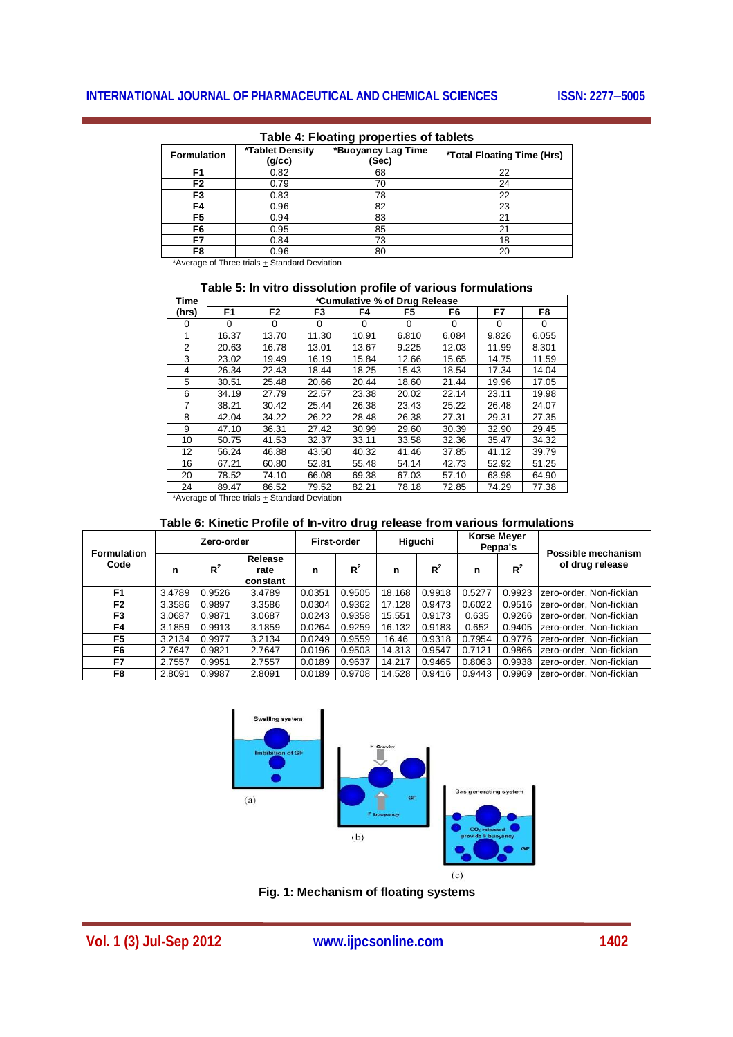| <b>Formulation</b> | *Tablet Density<br>(g/cc) | *Buoyancy Lag Time<br>(Sec) | *Total Floating Time (Hrs) |  |  |  |  |  |
|--------------------|---------------------------|-----------------------------|----------------------------|--|--|--|--|--|
| F1                 | 0.82                      | 68                          | 22                         |  |  |  |  |  |
| F <sub>2</sub>     | 0.79                      | 70                          | 24                         |  |  |  |  |  |
| F3                 | 0.83                      | 78                          | 22                         |  |  |  |  |  |
| F4                 | 0.96                      | 82                          | 23                         |  |  |  |  |  |
| F5                 | 0.94                      | 83                          | 21                         |  |  |  |  |  |
| F6                 | 0.95                      | 85                          | 21                         |  |  |  |  |  |
| F7                 | 0.84                      | 73                          | 18                         |  |  |  |  |  |
| F8                 | 0.96                      | 80                          | 20                         |  |  |  |  |  |

# **Table 4: Floating properties of tablets**

\*Average of Three trials + Standard Deviation

# **Table 5: In vitro dissolution profile of various formulations**

| Time     | *Cumulative % of Drug Release |                |          |          |       |       |          |          |
|----------|-------------------------------|----------------|----------|----------|-------|-------|----------|----------|
| (hrs)    | F <sub>1</sub>                | F <sub>2</sub> | F3       | F4       | F5    | F6    | F7       | F8       |
| $\Omega$ | 0                             | 0              | $\Omega$ | $\Omega$ | 0     | 0     | $\Omega$ | $\Omega$ |
|          | 16.37                         | 13.70          | 11.30    | 10.91    | 6.810 | 6.084 | 9.826    | 6.055    |
| 2        | 20.63                         | 16.78          | 13.01    | 13.67    | 9.225 | 12.03 | 11.99    | 8.301    |
| 3        | 23.02                         | 19.49          | 16.19    | 15.84    | 12.66 | 15.65 | 14.75    | 11.59    |
| 4        | 26.34                         | 22.43          | 18.44    | 18.25    | 15.43 | 18.54 | 17.34    | 14.04    |
| 5        | 30.51                         | 25.48          | 20.66    | 20.44    | 18.60 | 21.44 | 19.96    | 17.05    |
| 6        | 34.19                         | 27.79          | 22.57    | 23.38    | 20.02 | 22.14 | 23.11    | 19.98    |
| 7        | 38.21                         | 30.42          | 25.44    | 26.38    | 23.43 | 25.22 | 26.48    | 24.07    |
| 8        | 42.04                         | 34.22          | 26.22    | 28.48    | 26.38 | 27.31 | 29.31    | 27.35    |
| 9        | 47.10                         | 36.31          | 27.42    | 30.99    | 29.60 | 30.39 | 32.90    | 29.45    |
| 10       | 50.75                         | 41.53          | 32.37    | 33.11    | 33.58 | 32.36 | 35.47    | 34.32    |
| 12       | 56.24                         | 46.88          | 43.50    | 40.32    | 41.46 | 37.85 | 41.12    | 39.79    |
| 16       | 67.21                         | 60.80          | 52.81    | 55.48    | 54.14 | 42.73 | 52.92    | 51.25    |
| 20       | 78.52                         | 74.10          | 66.08    | 69.38    | 67.03 | 57.10 | 63.98    | 64.90    |
| 24       | 89.47                         | 86.52          | 79.52    | 82.21    | 78.18 | 72.85 | 74.29    | 77.38    |
| <b>A</b> |                               | .              |          |          |       |       |          |          |

\*Average of Three trials + Standard Deviation

# **Table 6: Kinetic Profile of In-vitro drug release from various formulations**

| <b>Formulation</b> | Zero-order |        |                             | First-order |        | Higuchi |        | Korse Meyer<br>Peppa's |        | Possible mechanism      |  |
|--------------------|------------|--------|-----------------------------|-------------|--------|---------|--------|------------------------|--------|-------------------------|--|
| Code               | n          | $R^2$  | Release<br>rate<br>constant | n           | $R^2$  | n       | $R^2$  | n                      | $R^2$  | of drug release         |  |
| F <sub>1</sub>     | 3.4789     | 0.9526 | 3.4789                      | 0.0351      | 0.9505 | 18.168  | 0.9918 | 0.5277                 | 0.9923 | zero-order, Non-fickian |  |
| F2                 | 3.3586     | 0.9897 | 3.3586                      | 0.0304      | 0.9362 | 17.128  | 0.9473 | 0.6022                 | 0.9516 | zero-order. Non-fickian |  |
| F3                 | 3.0687     | 0.9871 | 3.0687                      | 0.0243      | 0.9358 | 15.551  | 0.9173 | 0.635                  | 0.9266 | zero-order, Non-fickian |  |
| F4                 | 3.1859     | 0.9913 | 3.1859                      | 0.0264      | 0.9259 | 16.132  | 0.9183 | 0.652                  | 0.9405 | zero-order, Non-fickian |  |
| F <sub>5</sub>     | 3.2134     | 0.9977 | 3.2134                      | 0.0249      | 0.9559 | 16.46   | 0.9318 | 0.7954                 | 0.9776 | zero-order. Non-fickian |  |
| F6                 | 2.7647     | 0.9821 | 2.7647                      | 0.0196      | 0.9503 | 14.313  | 0.9547 | 0.7121                 | 0.9866 | zero-order, Non-fickian |  |
| F7                 | 2.7557     | 0.9951 | 2.7557                      | 0.0189      | 0.9637 | 14.217  | 0.9465 | 0.8063                 | 0.9938 | zero-order, Non-fickian |  |
| F8                 | 2.8091     | 0.9987 | 2.8091                      | 0.0189      | 0.9708 | 14.528  | 0.9416 | 0.9443                 | 0.9969 | zero-order. Non-fickian |  |



**Fig. 1: Mechanism of floating systems**